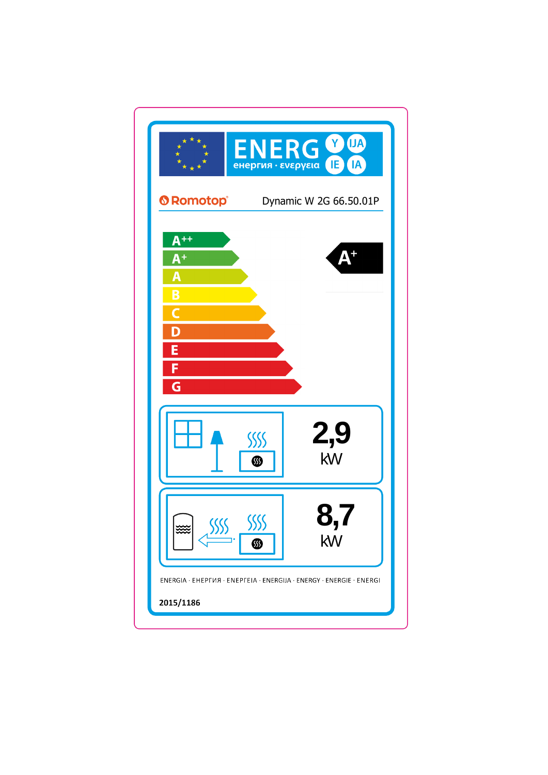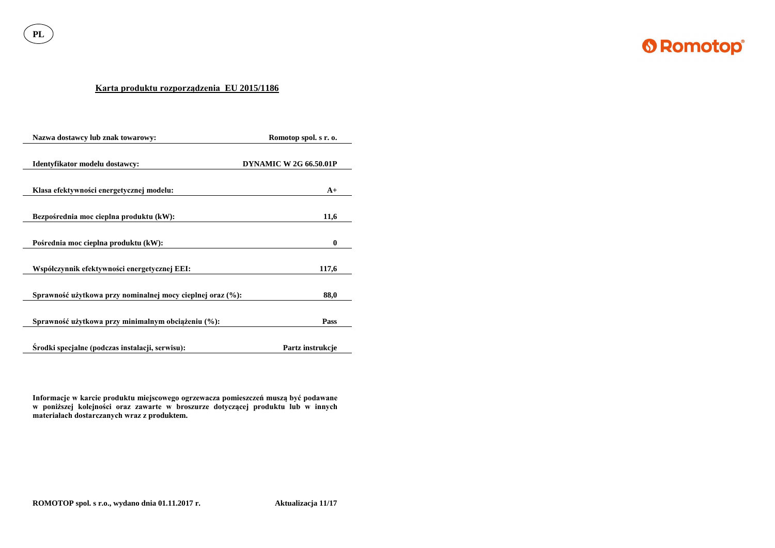

**PL**

# **Karta produktu rozporządzenia EU 2015/1186**

| Nazwa dostawcy lub znak towarowy:                          | Romotop spol. s r. o.         |  |
|------------------------------------------------------------|-------------------------------|--|
| Identyfikator modelu dostawcy:                             | <b>DYNAMIC W 2G 66.50.01P</b> |  |
| Klasa efektywności energetycznej modelu:                   | $A+$                          |  |
| Bezpośrednia moc cieplna produktu (kW):                    | 11,6                          |  |
| Pośrednia moc cieplna produktu (kW):                       | $\boldsymbol{0}$              |  |
| Współczynnik efektywności energetycznej EEI:               | 117,6                         |  |
| Sprawność użytkowa przy nominalnej mocy cieplnej oraz (%): | 88,0                          |  |
| Sprawność użytkowa przy minimalnym obciążeniu (%):         | Pass                          |  |
| Srodki specjalne (podczas instalacji, serwisu):            | Partz instrukcje              |  |

**Informacje w karcie produktu miejscowego ogrzewacza pomieszczeń muszą być podawane w poniższej kolejności oraz zawarte w broszurze dotyczącej produktu lub w innych materiałach dostarczanych wraz z produktem.**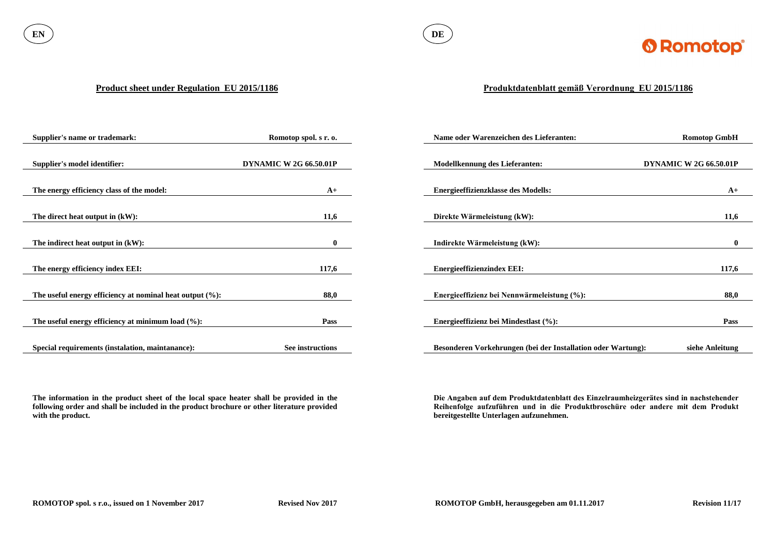

### **Product sheet under Regulation EU 2015/1186**

**The information in the product sheet of the local space heater shall be provided in the following order and shall be included in the product brochure or other literature provided with the product.**

| <b>Supplier's name or trademark:</b>                        | Romotop spol. s r. o.         | Name oder Warenzeichen des Lieferanten:                      | <b>Romotop GmbH</b>           |
|-------------------------------------------------------------|-------------------------------|--------------------------------------------------------------|-------------------------------|
|                                                             |                               |                                                              |                               |
| <b>Supplier's model identifier:</b>                         | <b>DYNAMIC W 2G 66.50.01P</b> | <b>Modellkennung des Lieferanten:</b>                        | <b>DYNAMIC W 2G 66.50.01P</b> |
|                                                             |                               |                                                              |                               |
| The energy efficiency class of the model:                   | $A+$                          | <b>Energieeffizienzklasse des Modells:</b>                   | $A+$                          |
|                                                             |                               |                                                              |                               |
| The direct heat output in (kW):                             | 11,6                          | Direkte Wärmeleistung (kW):                                  | 11,6                          |
|                                                             |                               |                                                              |                               |
| The indirect heat output in (kW):                           | $\mathbf{0}$                  | Indirekte Wärmeleistung (kW):                                | $\mathbf{0}$                  |
|                                                             |                               |                                                              |                               |
| The energy efficiency index EEI:                            | 117,6                         | <b>Energieeffizienzindex EEI:</b>                            | 117,6                         |
|                                                             |                               |                                                              |                               |
| The useful energy efficiency at nominal heat output $(\%):$ | 88,0                          | Energieeffizienz bei Nennwärmeleistung (%):                  | 88,0                          |
|                                                             |                               |                                                              |                               |
| The useful energy efficiency at minimum load $(\%):$        | <b>Pass</b>                   | Energieeffizienz bei Mindestlast (%):                        | <b>Pass</b>                   |
|                                                             |                               |                                                              |                               |
| Special requirements (instalation, maintanance):            | See instructions              | Besonderen Vorkehrungen (bei der Installation oder Wartung): | siehe Anleitung               |

# **Produktdatenblatt gemäß Verordnung EU 2015/1186**

**Die Angaben auf dem Produktdatenblatt des Einzelraumheizgerätes sind in nachstehender Reihenfolge aufzuführen und in die Produktbroschüre oder andere mit dem Produkt bereitgestellte Unterlagen aufzunehmen.**